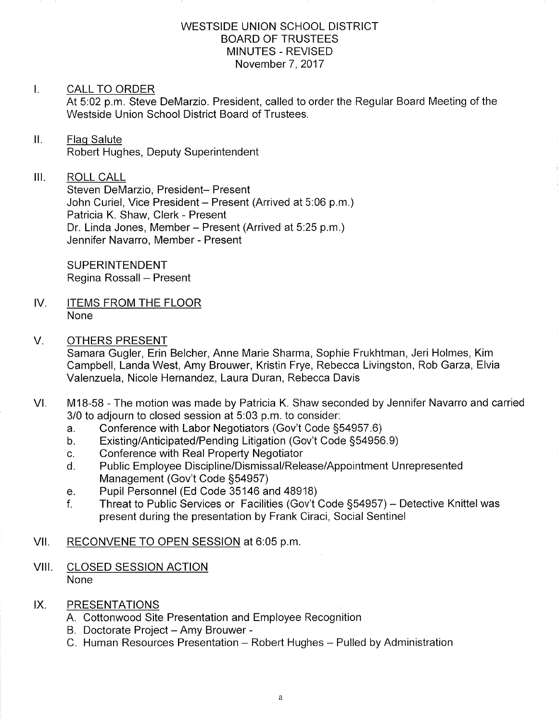### WESTSIDE UNION SCHOOL DISTRICT BOARD OF TRUSTEES MINUTES - REVISED November 7,2017

#### $\mathbf{L}$ CALL TO ORDER

At 5:02 p.m. Steve DeMarzio. President, called to order the Regular Board Meeting of the Westside Union School District Board of Trustees.

### ll. Flaq Salute Robert Hughes, Deputy Superintendent

### $III.$ ROLL CALL

Steven DeMarzio, President- Present John Curiel, Vice President - Present (Arrived at 5:06 p.m.) Patricia K. Shaw, Clerk - Present Dr. Linda Jones, Member - Present (Arrived at 5:25 p.m.) Jennifer Navarro, Member - Present

**SUPERINTENDENT** Regina Rossall - Present

- IV. **ITEMS FROM THE FLOOR** None
- V. OTHERS PRESENT

Samara Gugler, Erin Belcher, Anne Marie Sharma, Sophie Frukhtman, Jeri Holmes, Kim Campbell, Landa West, Amy Brouwer, Kristin Frye, Rebecca Livingston, Rob Garza, Elvia Valenzuela, Nicole Hernandez, Laura Duran, Rebecca Davis

- M1B-58 The motion was made by Patricia K. Shaw seconded by Jennifer Navarro and carried 3/0 to adjourn to closed session at 5:03 p.m. to consider:<br>a. Conference with Labor Negotiators (Gov't Code §54957.6) VI
	-
	- a. Conference with Labor Negotiators (Gov't Code §54957.6)<br>b. Existing/Anticipated/Pending Litigation (Gov't Code §54956.9)<br>c. Conference with Real Property Negotiator
	-
	- c. Conference with Real Property Negotiator<br>d. Public Employee Discipline/Dismissal/Release/Appointment Unrepresented Management (Gov't Code S54957) e. Pupil Personnel (Ed Code 35146 and 48918)
	-
	- f. Threat to Public Services or Facilities (Gov't Code §54957) Detective Knittel was present during the presentation by Frank Ciraci, Social Sentinel

# Vll. RECONVENE TO OPEN SESSION at 6:05 p.m

## VIII. CLOSED SESSION ACTION None

## IX. PRESENTATIONS

- A Cottonwood Site Presentation and Employee Recognition
- B. Doctorate Project Amy Brouwer -
- C. Human Resources Presentation Robert Hughes Pulled by Administratior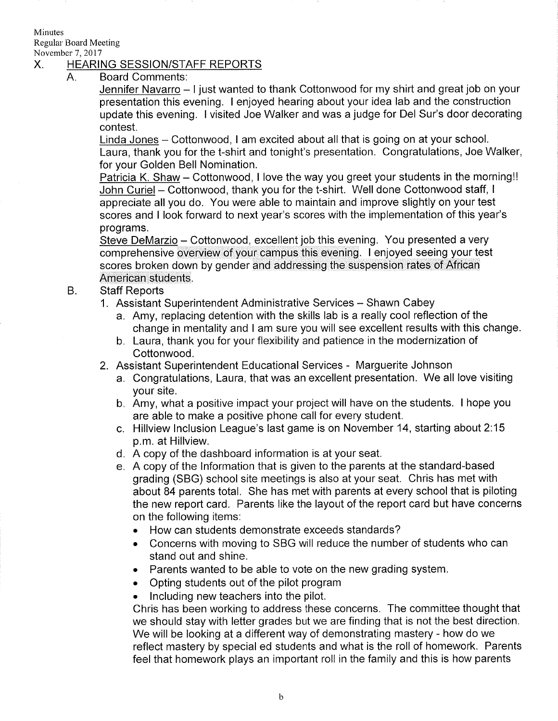**Minutes** Regular Board Meeting

# November 7, 2017<br>X. HEARING SESSION/STAFF REPORTS

A. Board Comments

Jennifer Navarro - I just wanted to thank Cottonwood for my shirt and great job on your presentation this evening. I enjoyed hearing about your idea lab and the construction update this evening. I visited Joe Walker and was a judge for Del Sur's door decorating contest.

Linda Jones - Cottonwood, I am excited about all that is going on at your school. Laura, thank you for the t-shirt and tonight's presentation. Congratulations, Joe Walker, for your Golden Bell Nomination.

Patricia K. Shaw – Cottonwood, I love the way you greet your students in the morning!! John Curiel - Cottonwood, thank you for the t-shirt. Well done Cottonwood staff, I appreciate all you do. You were able to maintain and improve slightly on your test scores and I look forward to next year's scores with the implementation of this year's programs.

Steve DeMarzio - Cottonwood, excellent job this evening. You presented a very comprehensive overview of your campus this evening. I enjoyed seeing your test scores broken down by gender and addressing the suspension rates of African American students.

- B. **Staff Reports** 
	- 1. Assistant Superintendent Administrative Services Shawn Cabey
		- a. Amy, replacing detention with the skills lab is a really cool reflection of the change in mentality and I am sure you will see excellent results with this change. b. Laura, thank you for your flexibility and patience in the modernization of
		- Cottonwood.
	- 2. Assistant Superintendent Educational Services Marguerite Johnson
		- a. Congratulations, Laura, that was an excellent presentation. We all love visiting your site.
		- b. Amy, what a positive impact your project will have on the students. I hope you are able to make a positive phone call for every student.
		- c. Hillview lnclusion League's last game is on November'14, stafting about 2:15 p.m. at Hillview.
		- d. A copy of the dashboard information is at your seat.
		- e. A copy of the lnformation that is given to the parents at the standard-based grading (SBG) school site meetings is also at your seat. Chris has met with about 84 parents total. She has met with parents at every school that is piloting the new report card. Parents like the layout of the report card but have concerns on the following items:
			- . How can students demonstrate exceeds standards?
			- . Concerns with moving to SBG will reduce the number of students who can stand out and shine.
			- . Parents wanted to be able to vote on the new grading system.
			- . Opting students out of the pilot program
			- . lncluding new teachers into the pilot.

Chris has been working to address these concerns. The committee thought that we should stay with letter grades but we are finding that is not the best direction. We will be looking at a different way of demonstrating mastery - how do we reflect mastery by special ed students and what is the roll of homework. Parents feel that homework plays an important roll in the family and this is how parents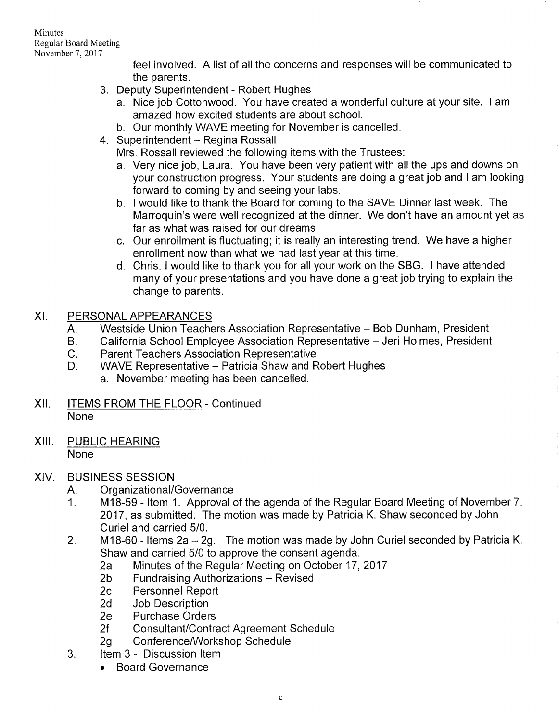Minutes Regular Board Meeting November 7,2017

> feel involved. A list of all the concerns and responses will be communicated to the parents.

- 3. Deputy Superintendent Robert Hughes
	- a. Nice job Cottonwood. You have created a wonderful culture at your site. I am amazed how excited students are about school.
	- b. Our monthly WAVE meeting for November is cancelled.
- 4. Superintendent Regina Rossall

Mrs. Rossall reviewed the following items with the Trustees:

- a. Very nice job, Laura. You have been very patient with all the ups and downs on your construction progress. Your students are doing a great job and I am looking forward to coming by and seeing your labs. b. I would like to thank the Board for coming to the SAVE Dinner last week. The
- Marroquin's were well recognized at the dinner. We don't have an amount yet as far as what was raised for our dreams.
- c. Our enrollment is fluctuating; it is really an interesting trend. We have a higher enrollment now than what we had last year at this time.
- d. Chris, I would like to thank you for all your work on the SBG. I have attended many of your presentations and you have done a great job trying to explain the change to parents.
- XI. PERSONAL APPEARANCES
	- Westside Union Teachers Association Representative Bob Dunham, President A.
	- California School Employee Association Representative Jeri Holmes, President B.
	- Parent Teachers Association Representative  $C_{\cdot}$
	- WAVE Representative Patricia Shaw and Robert Hughes a. November meeting has been cancelled. D.
- Xll. ITEMS FROM THE FLOOR Continued None
- XIII. PUBLIC HEARING None

# XIV. BUSINESS SESSION

- A. Organizational/Governance
- <sup>1</sup>. M18-59 ltem <sup>1</sup>. Approval of the agenda of the Regular Board Meeting of November 7, 2017, as submitted. The motion was made by Patricia K. Shaw seconded by John Curiel and carried 5/0.
- 2. M18-60 Items 2a 2g. The motion was made by John Curiel seconded by Patricia K.<br>Shaw and carried 5/0 to approve the consent agenda.
	- Shaw and carried 50 to approve the Regular Meeting on October 17, 2017<br>
	2b Fundraising Authorizations Revised<br>
	2c Personnel Report<br>
	2d Job Description<br>
	2e Purchase Orders
	-
	-
	-
	-
- 2f Consultant/Contract Agreement Schedule<br>2g Conference/Workshop Schedule<br>3. ltem 3 Discussion Item
	-
- - . Board Governance